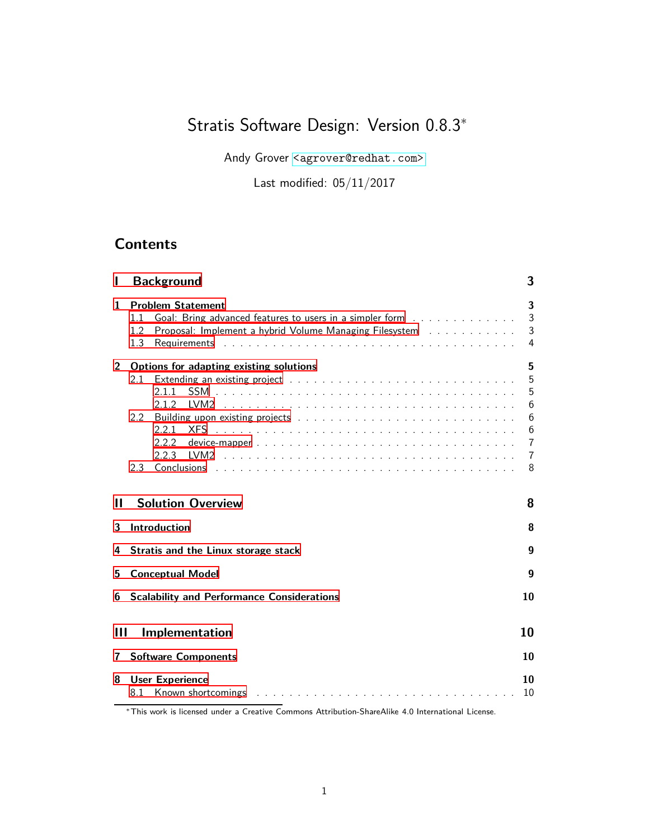# Stratis Software Design: Version 0.8.3<sup>∗</sup>

Andy Grover <<agrover@redhat.com>>

Last modified: 05/11/2017

# **Contents**

|                | <b>Background</b>                                                                                                                                                                                                                                                           | 3                                            |
|----------------|-----------------------------------------------------------------------------------------------------------------------------------------------------------------------------------------------------------------------------------------------------------------------------|----------------------------------------------|
| 1              | <b>Problem Statement</b><br>Goal: Bring advanced features to users in a simpler form<br>1.1<br>Proposal: Implement a hybrid Volume Managing Filesystem<br>1.2<br>1.3                                                                                                        | 3<br>3<br>3<br>4                             |
| $\overline{2}$ | Options for adapting existing solutions<br>2.1<br>2.1.1<br>2.1.2<br>TVM <sub>2</sub><br><u>. In the second term of the second term of the second term of the second term of the second</u><br>$2.2^{\circ}$<br><b>XFS</b><br>2.2.1<br>2.2.2                                 | 5<br>5<br>5<br>6<br>6<br>6<br>$\overline{7}$ |
|                | 2.2.3<br>LVM2<br><u>. In the second control of the second control of the second control of the second control of the second control of the second control of the second control of the second control of the second control of the second control</u><br>Conclusions<br>2.3 | $\overline{7}$<br>8                          |
| н              | <b>Solution Overview</b>                                                                                                                                                                                                                                                    | 8                                            |
| 3              | Introduction                                                                                                                                                                                                                                                                | 8                                            |
| 4              | Stratis and the Linux storage stack                                                                                                                                                                                                                                         | 9                                            |
| 5              | <b>Conceptual Model</b>                                                                                                                                                                                                                                                     | 9                                            |
| 6              | <b>Scalability and Performance Considerations</b>                                                                                                                                                                                                                           | 10                                           |
| Ш              | Implementation                                                                                                                                                                                                                                                              | 10                                           |
| 7              | <b>Software Components</b>                                                                                                                                                                                                                                                  | 10                                           |
| 8              | <b>User Experience</b><br>Known shortcomings entering the state of the state of the state of the state of the state of the state of the state of the state of the state of the state of the state of the state of the state of the state of the state of<br>8.1             | 10<br>10                                     |

<sup>∗</sup>This work is licensed under a Creative Commons Attribution-ShareAlike 4.0 International License.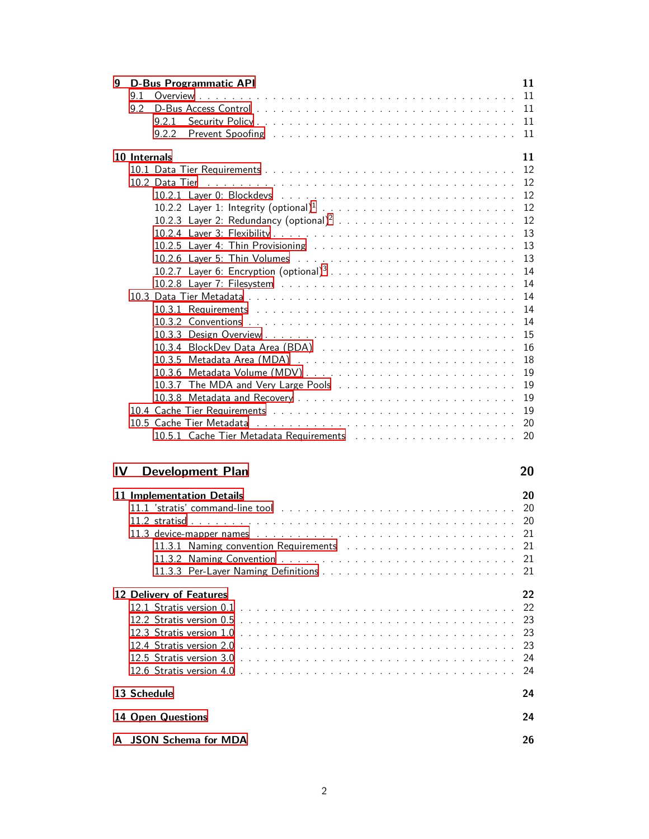| 9  |              |                          | <b>D-Bus Programmatic API</b> | 11 |
|----|--------------|--------------------------|-------------------------------|----|
|    | 9.1          |                          |                               | 11 |
|    | 9.2          |                          |                               | 11 |
|    |              | 9.2.1                    |                               | 11 |
|    |              | 9.2.2                    |                               | 11 |
|    |              |                          |                               |    |
|    | 10 Internals |                          |                               | 11 |
|    |              |                          |                               | 12 |
|    |              |                          |                               | 12 |
|    |              |                          |                               | 12 |
|    |              |                          |                               | 12 |
|    |              |                          |                               | 12 |
|    |              |                          |                               | 13 |
|    |              |                          |                               | 13 |
|    |              |                          |                               | 13 |
|    |              |                          |                               | 14 |
|    |              |                          |                               | 14 |
|    |              |                          |                               | 14 |
|    |              |                          |                               | 14 |
|    |              |                          |                               | 14 |
|    |              |                          |                               | 15 |
|    |              |                          |                               | 16 |
|    |              |                          |                               | 18 |
|    |              |                          |                               | 19 |
|    |              |                          |                               | 19 |
|    |              |                          |                               | 19 |
|    |              |                          |                               | 19 |
|    |              |                          |                               | 20 |
|    |              |                          |                               | 20 |
|    |              |                          |                               |    |
| IV |              |                          | <b>Development Plan</b>       | 20 |
|    |              |                          |                               |    |
|    |              |                          | 11 Implementation Details     | 20 |
|    |              |                          |                               |    |
|    |              |                          |                               |    |
|    |              |                          |                               | 21 |
|    |              |                          |                               | 21 |
|    |              |                          |                               | 21 |
|    |              |                          |                               | 21 |
|    |              |                          |                               |    |
|    |              |                          |                               |    |
|    |              |                          | 12 Delivery of Features       | 22 |
|    |              |                          |                               | 22 |
|    |              |                          |                               | 23 |
|    |              |                          |                               | 23 |
|    |              |                          |                               | 23 |
|    |              |                          |                               | 24 |
|    |              |                          |                               | 24 |
|    |              |                          |                               |    |
|    |              | 13 Schedule              |                               | 24 |
|    |              | <b>14 Open Questions</b> |                               | 24 |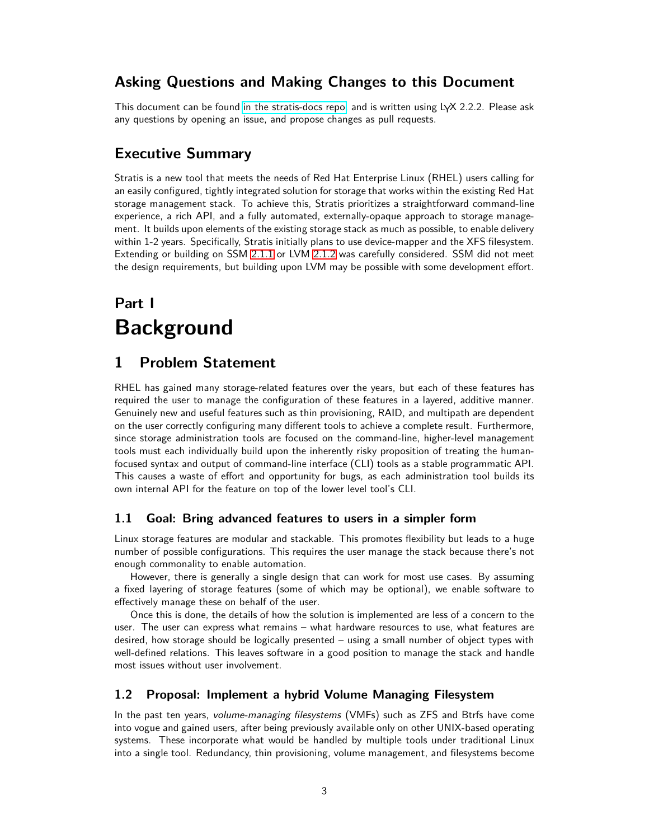# **Asking Questions and Making Changes to this Document**

This document can be found [in the stratis-docs repo,](https://github.com/stratis-storage/stratis-docs/blob/master/docs/design/StratisSoftwareDesign.lyx) and is written using  $L\gamma X$  2.2.2. Please ask any questions by opening an issue, and propose changes as pull requests.

# **Executive Summary**

Stratis is a new tool that meets the needs of Red Hat Enterprise Linux (RHEL) users calling for an easily configured, tightly integrated solution for storage that works within the existing Red Hat storage management stack. To achieve this, Stratis prioritizes a straightforward command-line experience, a rich API, and a fully automated, externally-opaque approach to storage management. It builds upon elements of the existing storage stack as much as possible, to enable delivery within 1-2 years. Specifically, Stratis initially plans to use device-mapper and the XFS filesystem. Extending or building on SSM [2.1.1](#page-4-2) or LVM [2.1.2](#page-5-0) was carefully considered. SSM did not meet the design requirements, but building upon LVM may be possible with some development effort.

# <span id="page-2-0"></span>**Part I Background**

# <span id="page-2-1"></span>**1 Problem Statement**

RHEL has gained many storage-related features over the years, but each of these features has required the user to manage the configuration of these features in a layered, additive manner. Genuinely new and useful features such as thin provisioning, RAID, and multipath are dependent on the user correctly configuring many different tools to achieve a complete result. Furthermore, since storage administration tools are focused on the command-line, higher-level management tools must each individually build upon the inherently risky proposition of treating the humanfocused syntax and output of command-line interface (CLI) tools as a stable programmatic API. This causes a waste of effort and opportunity for bugs, as each administration tool builds its own internal API for the feature on top of the lower level tool's CLI.

## <span id="page-2-2"></span>**1.1 Goal: Bring advanced features to users in a simpler form**

Linux storage features are modular and stackable. This promotes flexibility but leads to a huge number of possible configurations. This requires the user manage the stack because there's not enough commonality to enable automation.

However, there is generally a single design that can work for most use cases. By assuming a fixed layering of storage features (some of which may be optional), we enable software to effectively manage these on behalf of the user.

Once this is done, the details of how the solution is implemented are less of a concern to the user. The user can express what remains – what hardware resources to use, what features are desired, how storage should be logically presented – using a small number of object types with well-defined relations. This leaves software in a good position to manage the stack and handle most issues without user involvement.

## <span id="page-2-3"></span>**1.2 Proposal: Implement a hybrid Volume Managing Filesystem**

In the past ten years, volume-managing filesystems (VMFs) such as ZFS and Btrfs have come into vogue and gained users, after being previously available only on other UNIX-based operating systems. These incorporate what would be handled by multiple tools under traditional Linux into a single tool. Redundancy, thin provisioning, volume management, and filesystems become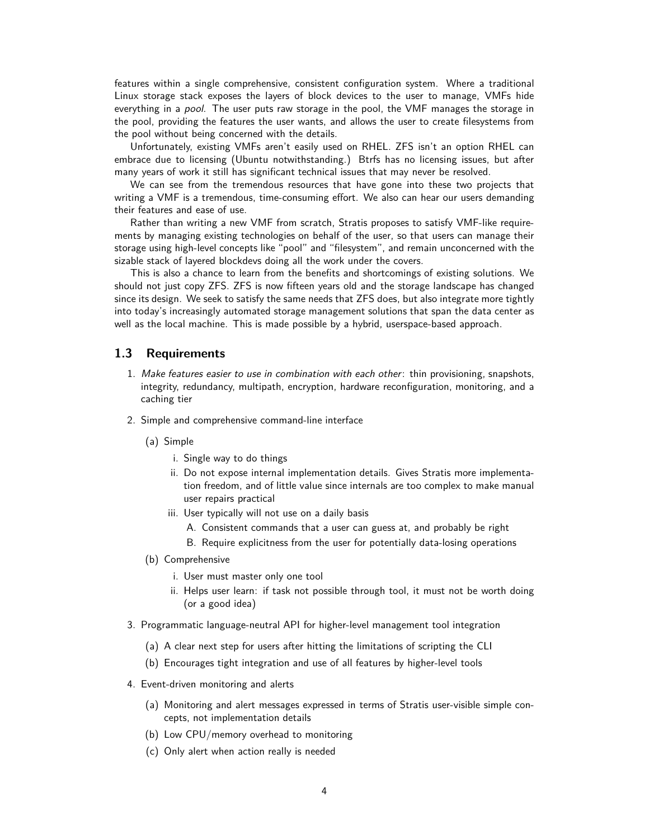features within a single comprehensive, consistent configuration system. Where a traditional Linux storage stack exposes the layers of block devices to the user to manage, VMFs hide everything in a *pool*. The user puts raw storage in the pool, the VMF manages the storage in the pool, providing the features the user wants, and allows the user to create filesystems from the pool without being concerned with the details.

Unfortunately, existing VMFs aren't easily used on RHEL. ZFS isn't an option RHEL can embrace due to licensing (Ubuntu notwithstanding.) Btrfs has no licensing issues, but after many years of work it still has significant technical issues that may never be resolved.

We can see from the tremendous resources that have gone into these two projects that writing a VMF is a tremendous, time-consuming effort. We also can hear our users demanding their features and ease of use.

Rather than writing a new VMF from scratch, Stratis proposes to satisfy VMF-like requirements by managing existing technologies on behalf of the user, so that users can manage their storage using high-level concepts like "pool" and "filesystem", and remain unconcerned with the sizable stack of layered blockdevs doing all the work under the covers.

This is also a chance to learn from the benefits and shortcomings of existing solutions. We should not just copy ZFS. ZFS is now fifteen years old and the storage landscape has changed since its design. We seek to satisfy the same needs that ZFS does, but also integrate more tightly into today's increasingly automated storage management solutions that span the data center as well as the local machine. This is made possible by a hybrid, userspace-based approach.

#### <span id="page-3-0"></span>**1.3 Requirements**

- 1. Make features easier to use in combination with each other: thin provisioning, snapshots, integrity, redundancy, multipath, encryption, hardware reconfiguration, monitoring, and a caching tier
- 2. Simple and comprehensive command-line interface
	- (a) Simple
		- i. Single way to do things
		- ii. Do not expose internal implementation details. Gives Stratis more implementation freedom, and of little value since internals are too complex to make manual user repairs practical
		- iii. User typically will not use on a daily basis
			- A. Consistent commands that a user can guess at, and probably be right
			- B. Require explicitness from the user for potentially data-losing operations
	- (b) Comprehensive
		- i. User must master only one tool
		- ii. Helps user learn: if task not possible through tool, it must not be worth doing (or a good idea)
- 3. Programmatic language-neutral API for higher-level management tool integration
	- (a) A clear next step for users after hitting the limitations of scripting the CLI
	- (b) Encourages tight integration and use of all features by higher-level tools
- 4. Event-driven monitoring and alerts
	- (a) Monitoring and alert messages expressed in terms of Stratis user-visible simple concepts, not implementation details
	- (b) Low CPU/memory overhead to monitoring
	- (c) Only alert when action really is needed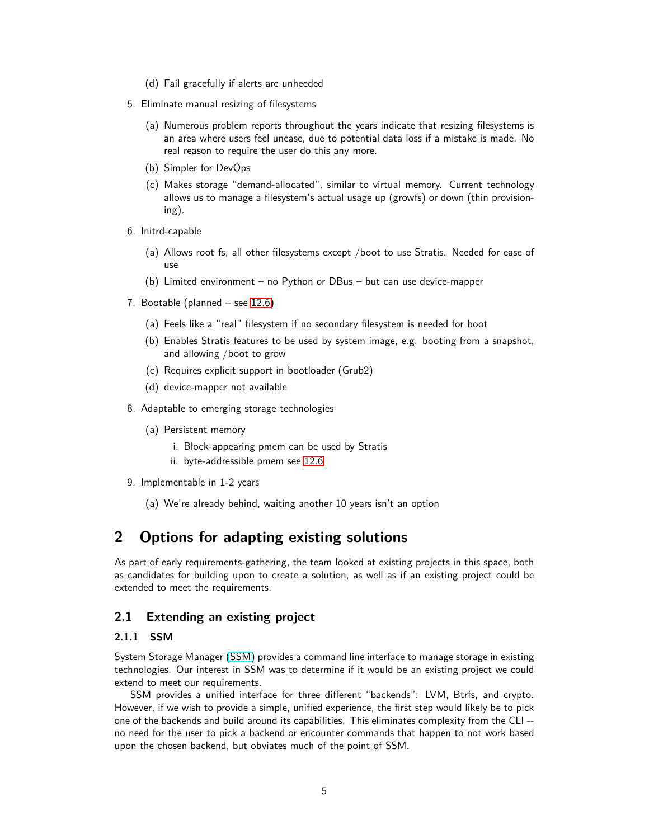- (d) Fail gracefully if alerts are unheeded
- 5. Eliminate manual resizing of filesystems
	- (a) Numerous problem reports throughout the years indicate that resizing filesystems is an area where users feel unease, due to potential data loss if a mistake is made. No real reason to require the user do this any more.
	- (b) Simpler for DevOps
	- (c) Makes storage "demand-allocated", similar to virtual memory. Current technology allows us to manage a filesystem's actual usage up (growfs) or down (thin provisioning).
- 6. Initrd-capable
	- (a) Allows root fs, all other filesystems except /boot to use Stratis. Needed for ease of use
	- (b) Limited environment no Python or DBus but can use device-mapper
- 7. Bootable (planned see [12.6\)](#page-23-1)
	- (a) Feels like a "real" filesystem if no secondary filesystem is needed for boot
	- (b) Enables Stratis features to be used by system image, e.g. booting from a snapshot, and allowing /boot to grow
	- (c) Requires explicit support in bootloader (Grub2)
	- (d) device-mapper not available
- 8. Adaptable to emerging storage technologies
	- (a) Persistent memory
		- i. Block-appearing pmem can be used by Stratis
		- ii. byte-addressible pmem see [12.6](#page-23-1)
- 9. Implementable in 1-2 years
	- (a) We're already behind, waiting another 10 years isn't an option

# <span id="page-4-0"></span>**2 Options for adapting existing solutions**

As part of early requirements-gathering, the team looked at existing projects in this space, both as candidates for building upon to create a solution, as well as if an existing project could be extended to meet the requirements.

### <span id="page-4-2"></span><span id="page-4-1"></span>**2.1 Extending an existing project**

#### **2.1.1 SSM**

System Storage Manager [\(SSM\)](https://access.redhat.com/documentation/en-US/Red_Hat_Enterprise_Linux/7/html/Storage_Administration_Guide/ch-ssm.html) provides a command line interface to manage storage in existing technologies. Our interest in SSM was to determine if it would be an existing project we could extend to meet our requirements.

SSM provides a unified interface for three different "backends": LVM, Btrfs, and crypto. However, if we wish to provide a simple, unified experience, the first step would likely be to pick one of the backends and build around its capabilities. This eliminates complexity from the CLI - no need for the user to pick a backend or encounter commands that happen to not work based upon the chosen backend, but obviates much of the point of SSM.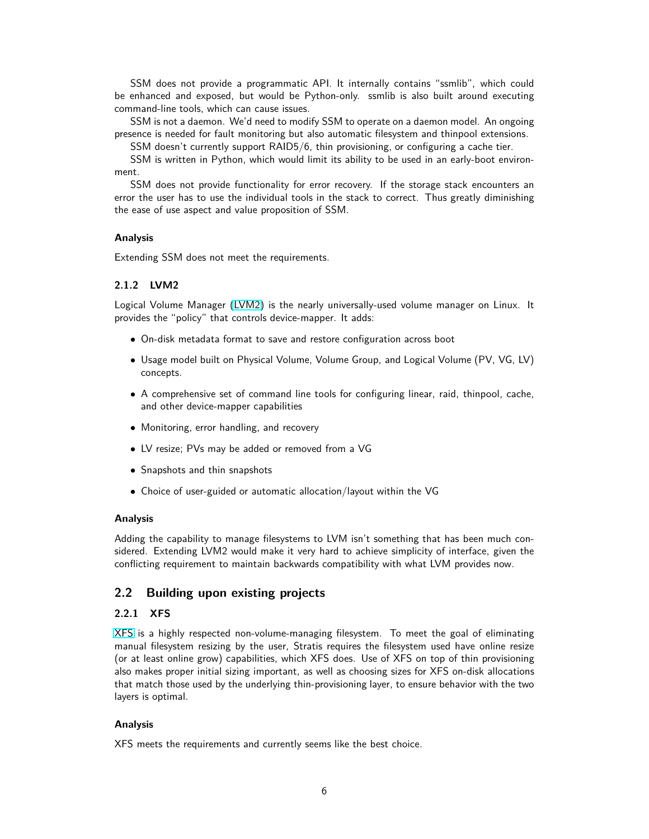SSM does not provide a programmatic API. It internally contains "ssmlib", which could be enhanced and exposed, but would be Python-only. ssmlib is also built around executing command-line tools, which can cause issues.

SSM is not a daemon. We'd need to modify SSM to operate on a daemon model. An ongoing presence is needed for fault monitoring but also automatic filesystem and thinpool extensions.

SSM doesn't currently support RAID5/6, thin provisioning, or configuring a cache tier.

SSM is written in Python, which would limit its ability to be used in an early-boot environment.

SSM does not provide functionality for error recovery. If the storage stack encounters an error the user has to use the individual tools in the stack to correct. Thus greatly diminishing the ease of use aspect and value proposition of SSM.

#### **Analysis**

Extending SSM does not meet the requirements.

### <span id="page-5-0"></span>**2.1.2 LVM2**

Logical Volume Manager [\(LVM2\)](https://en.wikipedia.org/wiki/Logical_Volume_Manager_(Linux)) is the nearly universally-used volume manager on Linux. It provides the "policy" that controls device-mapper. It adds:

- On-disk metadata format to save and restore configuration across boot
- Usage model built on Physical Volume, Volume Group, and Logical Volume (PV, VG, LV) concepts.
- A comprehensive set of command line tools for configuring linear, raid, thinpool, cache, and other device-mapper capabilities
- Monitoring, error handling, and recovery
- LV resize; PVs may be added or removed from a VG
- Snapshots and thin snapshots
- Choice of user-guided or automatic allocation/layout within the VG

#### **Analysis**

Adding the capability to manage filesystems to LVM isn't something that has been much considered. Extending LVM2 would make it very hard to achieve simplicity of interface, given the conflicting requirement to maintain backwards compatibility with what LVM provides now.

### <span id="page-5-2"></span><span id="page-5-1"></span>**2.2 Building upon existing projects**

#### **2.2.1 XFS**

[XFS](https://en.wikipedia.org/wiki/XFS) is a highly respected non-volume-managing filesystem. To meet the goal of eliminating manual filesystem resizing by the user, Stratis requires the filesystem used have online resize (or at least online grow) capabilities, which XFS does. Use of XFS on top of thin provisioning also makes proper initial sizing important, as well as choosing sizes for XFS on-disk allocations that match those used by the underlying thin-provisioning layer, to ensure behavior with the two layers is optimal.

#### **Analysis**

XFS meets the requirements and currently seems like the best choice.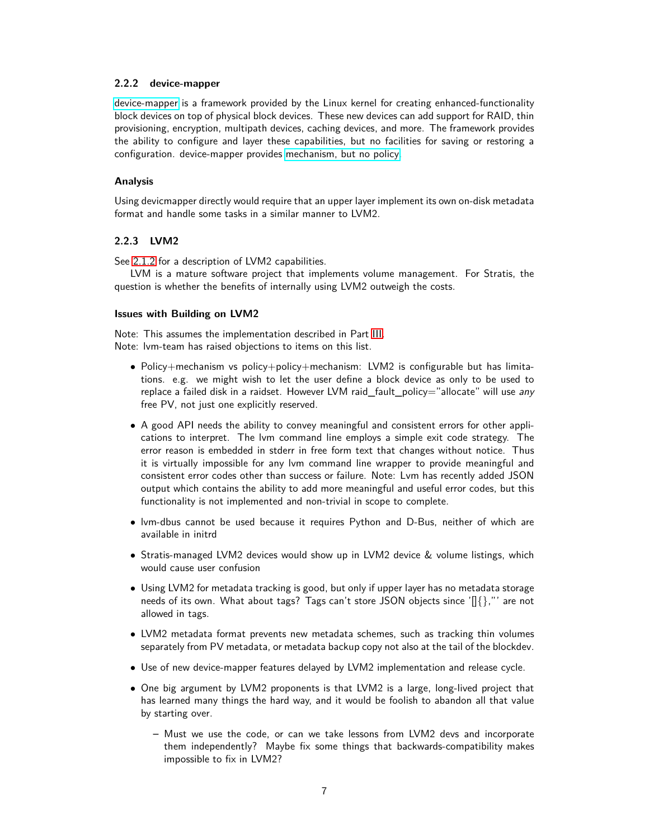#### <span id="page-6-0"></span>**2.2.2 device-mapper**

[device-mapper](https://en.wikipedia.org/wiki/Device_mapper) is a framework provided by the Linux kernel for creating enhanced-functionality block devices on top of physical block devices. These new devices can add support for RAID, thin provisioning, encryption, multipath devices, caching devices, and more. The framework provides the ability to configure and layer these capabilities, but no facilities for saving or restoring a configuration. device-mapper provides [mechanism, but no policy.](http://www.personal.kent.edu/~rmuhamma/OpSystems/Myos/mechanicPolicy.htm)

#### **Analysis**

Using devicmapper directly would require that an upper layer implement its own on-disk metadata format and handle some tasks in a similar manner to LVM2.

#### <span id="page-6-1"></span>**2.2.3 LVM2**

See [2.1.2](#page-5-0) for a description of LVM2 capabilities.

LVM is a mature software project that implements volume management. For Stratis, the question is whether the benefits of internally using LVM2 outweigh the costs.

#### **Issues with Building on LVM2**

Note: This assumes the implementation described in Part [III.](#page-9-1) Note: lvm-team has raised objections to items on this list.

- Policy+mechanism vs policy+policy+mechanism: LVM2 is configurable but has limitations. e.g. we might wish to let the user define a block device as only to be used to replace a failed disk in a raidset. However LVM raid\_fault\_policy="allocate" will use any free PV, not just one explicitly reserved.
- A good API needs the ability to convey meaningful and consistent errors for other applications to interpret. The lvm command line employs a simple exit code strategy. The error reason is embedded in stderr in free form text that changes without notice. Thus it is virtually impossible for any lvm command line wrapper to provide meaningful and consistent error codes other than success or failure. Note: Lvm has recently added JSON output which contains the ability to add more meaningful and useful error codes, but this functionality is not implemented and non-trivial in scope to complete.
- lvm-dbus cannot be used because it requires Python and D-Bus, neither of which are available in initrd
- Stratis-managed LVM2 devices would show up in LVM2 device & volume listings, which would cause user confusion
- Using LVM2 for metadata tracking is good, but only if upper layer has no metadata storage needs of its own. What about tags? Tags can't store JSON objects since ' $\left[\right]\right\}$ ," are not allowed in tags.
- LVM2 metadata format prevents new metadata schemes, such as tracking thin volumes separately from PV metadata, or metadata backup copy not also at the tail of the blockdev.
- Use of new device-mapper features delayed by LVM2 implementation and release cycle.
- One big argument by LVM2 proponents is that LVM2 is a large, long-lived project that has learned many things the hard way, and it would be foolish to abandon all that value by starting over.
	- **–** Must we use the code, or can we take lessons from LVM2 devs and incorporate them independently? Maybe fix some things that backwards-compatibility makes impossible to fix in LVM2?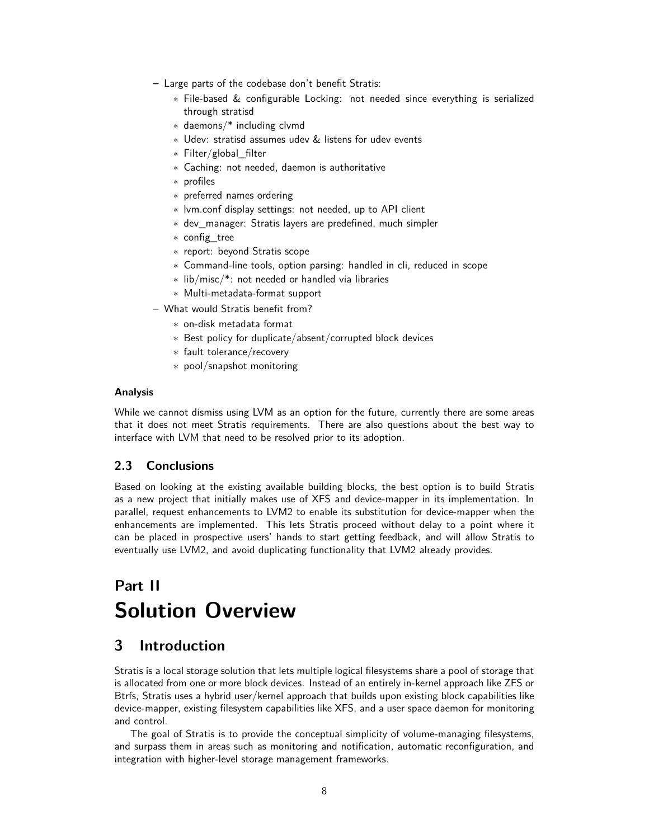- **–** Large parts of the codebase don't benefit Stratis:
	- ∗ File-based & configurable Locking: not needed since everything is serialized through stratisd
	- ∗ daemons/\* including clvmd
	- ∗ Udev: stratisd assumes udev & listens for udev events
	- ∗ Filter/global\_filter
	- ∗ Caching: not needed, daemon is authoritative
	- ∗ profiles
	- ∗ preferred names ordering
	- ∗ lvm.conf display settings: not needed, up to API client
	- ∗ dev\_manager: Stratis layers are predefined, much simpler
	- ∗ config\_tree
	- ∗ report: beyond Stratis scope
	- ∗ Command-line tools, option parsing: handled in cli, reduced in scope
	- ∗ lib/misc/\*: not needed or handled via libraries
	- ∗ Multi-metadata-format support
- **–** What would Stratis benefit from?
	- ∗ on-disk metadata format
	- ∗ Best policy for duplicate/absent/corrupted block devices
	- ∗ fault tolerance/recovery
	- ∗ pool/snapshot monitoring

#### **Analysis**

While we cannot dismiss using LVM as an option for the future, currently there are some areas that it does not meet Stratis requirements. There are also questions about the best way to interface with LVM that need to be resolved prior to its adoption.

### <span id="page-7-0"></span>**2.3 Conclusions**

Based on looking at the existing available building blocks, the best option is to build Stratis as a new project that initially makes use of XFS and device-mapper in its implementation. In parallel, request enhancements to LVM2 to enable its substitution for device-mapper when the enhancements are implemented. This lets Stratis proceed without delay to a point where it can be placed in prospective users' hands to start getting feedback, and will allow Stratis to eventually use LVM2, and avoid duplicating functionality that LVM2 already provides.

# <span id="page-7-1"></span>**Part II Solution Overview**

# <span id="page-7-2"></span>**3 Introduction**

Stratis is a local storage solution that lets multiple logical filesystems share a pool of storage that is allocated from one or more block devices. Instead of an entirely in-kernel approach like ZFS or Btrfs, Stratis uses a hybrid user/kernel approach that builds upon existing block capabilities like device-mapper, existing filesystem capabilities like XFS, and a user space daemon for monitoring and control.

The goal of Stratis is to provide the conceptual simplicity of volume-managing filesystems, and surpass them in areas such as monitoring and notification, automatic reconfiguration, and integration with higher-level storage management frameworks.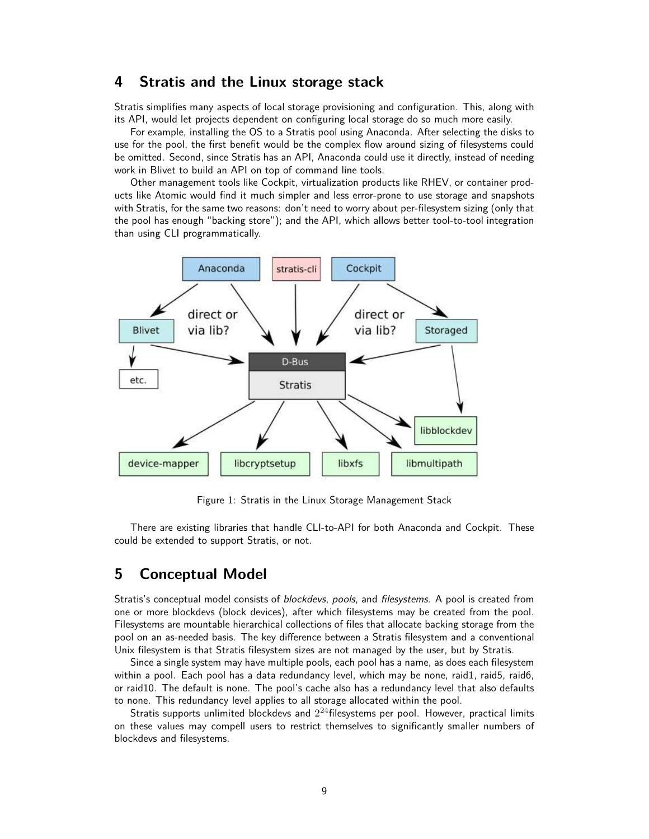# <span id="page-8-0"></span>**4 Stratis and the Linux storage stack**

Stratis simplifies many aspects of local storage provisioning and configuration. This, along with its API, would let projects dependent on configuring local storage do so much more easily.

For example, installing the OS to a Stratis pool using Anaconda. After selecting the disks to use for the pool, the first benefit would be the complex flow around sizing of filesystems could be omitted. Second, since Stratis has an API, Anaconda could use it directly, instead of needing work in Blivet to build an API on top of command line tools.

Other management tools like Cockpit, virtualization products like RHEV, or container products like Atomic would find it much simpler and less error-prone to use storage and snapshots with Stratis, for the same two reasons: don't need to worry about per-filesystem sizing (only that the pool has enough "backing store"); and the API, which allows better tool-to-tool integration than using CLI programmatically.



Figure 1: Stratis in the Linux Storage Management Stack

There are existing libraries that handle CLI-to-API for both Anaconda and Cockpit. These could be extended to support Stratis, or not.

## <span id="page-8-1"></span>**5 Conceptual Model**

Stratis's conceptual model consists of blockdevs, pools, and filesystems. A pool is created from one or more blockdevs (block devices), after which filesystems may be created from the pool. Filesystems are mountable hierarchical collections of files that allocate backing storage from the pool on an as-needed basis. The key difference between a Stratis filesystem and a conventional Unix filesystem is that Stratis filesystem sizes are not managed by the user, but by Stratis.

Since a single system may have multiple pools, each pool has a name, as does each filesystem within a pool. Each pool has a data redundancy level, which may be none, raid1, raid5, raid6, or raid10. The default is none. The pool's cache also has a redundancy level that also defaults to none. This redundancy level applies to all storage allocated within the pool.

Stratis supports unlimited blockdevs and  $2^{24}$ filesystems per pool. However, practical limits on these values may compell users to restrict themselves to significantly smaller numbers of blockdevs and filesystems.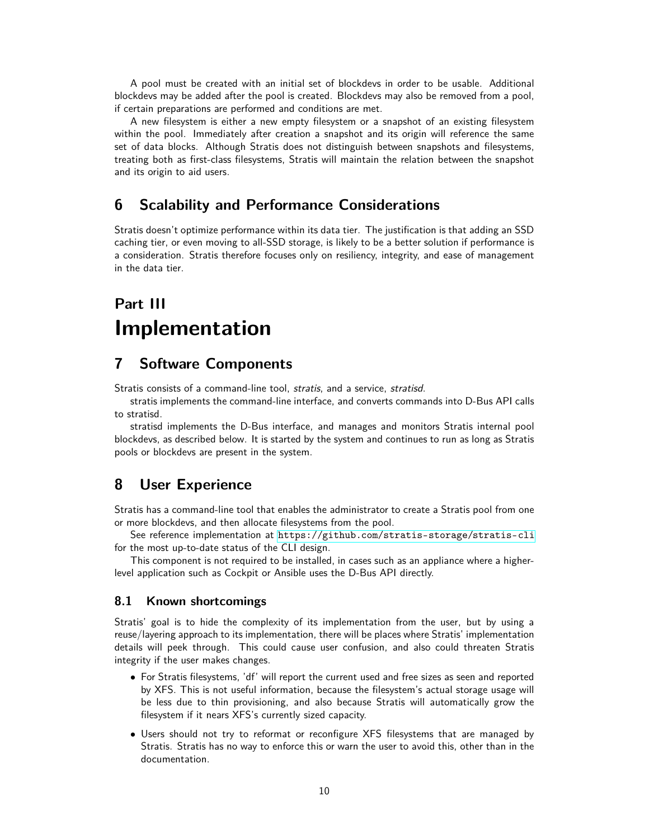A pool must be created with an initial set of blockdevs in order to be usable. Additional blockdevs may be added after the pool is created. Blockdevs may also be removed from a pool, if certain preparations are performed and conditions are met.

A new filesystem is either a new empty filesystem or a snapshot of an existing filesystem within the pool. Immediately after creation a snapshot and its origin will reference the same set of data blocks. Although Stratis does not distinguish between snapshots and filesystems, treating both as first-class filesystems, Stratis will maintain the relation between the snapshot and its origin to aid users.

# <span id="page-9-0"></span>**6 Scalability and Performance Considerations**

Stratis doesn't optimize performance within its data tier. The justification is that adding an SSD caching tier, or even moving to all-SSD storage, is likely to be a better solution if performance is a consideration. Stratis therefore focuses only on resiliency, integrity, and ease of management in the data tier.

# <span id="page-9-1"></span>**Part III Implementation**

## <span id="page-9-2"></span>**7 Software Components**

Stratis consists of a command-line tool, stratis, and a service, stratisd.

stratis implements the command-line interface, and converts commands into D-Bus API calls to stratisd.

stratisd implements the D-Bus interface, and manages and monitors Stratis internal pool blockdevs, as described below. It is started by the system and continues to run as long as Stratis pools or blockdevs are present in the system.

## <span id="page-9-3"></span>**8 User Experience**

Stratis has a command-line tool that enables the administrator to create a Stratis pool from one or more blockdevs, and then allocate filesystems from the pool.

See reference implementation at <https://github.com/stratis-storage/stratis-cli> for the most up-to-date status of the CLI design.

This component is not required to be installed, in cases such as an appliance where a higherlevel application such as Cockpit or Ansible uses the D-Bus API directly.

### <span id="page-9-4"></span>**8.1 Known shortcomings**

Stratis' goal is to hide the complexity of its implementation from the user, but by using a reuse/layering approach to its implementation, there will be places where Stratis' implementation details will peek through. This could cause user confusion, and also could threaten Stratis integrity if the user makes changes.

- For Stratis filesystems, 'df' will report the current used and free sizes as seen and reported by XFS. This is not useful information, because the filesystem's actual storage usage will be less due to thin provisioning, and also because Stratis will automatically grow the filesystem if it nears XFS's currently sized capacity.
- Users should not try to reformat or reconfigure XFS filesystems that are managed by Stratis. Stratis has no way to enforce this or warn the user to avoid this, other than in the documentation.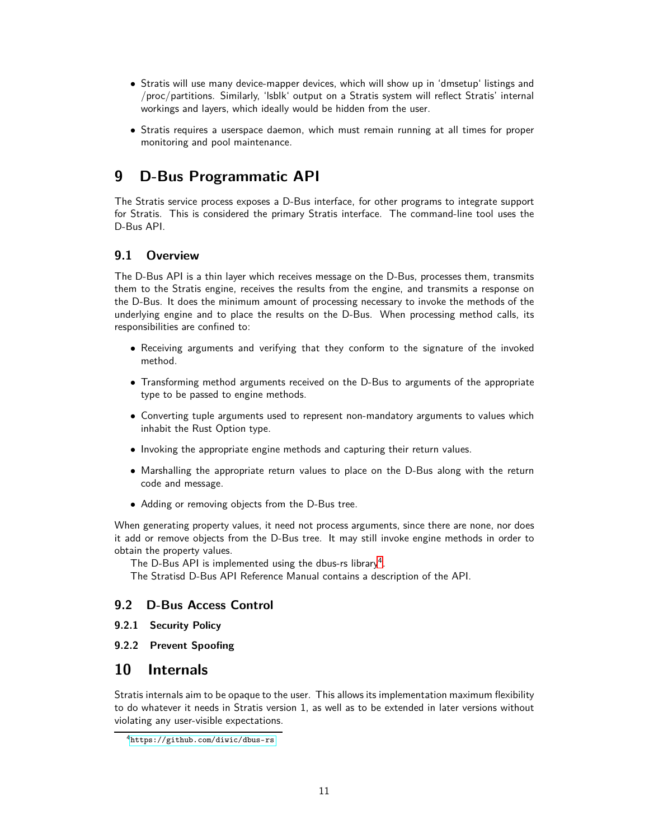- Stratis will use many device-mapper devices, which will show up in 'dmsetup' listings and /proc/partitions. Similarly, 'lsblk' output on a Stratis system will reflect Stratis' internal workings and layers, which ideally would be hidden from the user.
- Stratis requires a userspace daemon, which must remain running at all times for proper monitoring and pool maintenance.

# <span id="page-10-0"></span>**9 D-Bus Programmatic API**

The Stratis service process exposes a D-Bus interface, for other programs to integrate support for Stratis. This is considered the primary Stratis interface. The command-line tool uses the D-Bus API.

## <span id="page-10-1"></span>**9.1 Overview**

The D-Bus API is a thin layer which receives message on the D-Bus, processes them, transmits them to the Stratis engine, receives the results from the engine, and transmits a response on the D-Bus. It does the minimum amount of processing necessary to invoke the methods of the underlying engine and to place the results on the D-Bus. When processing method calls, its responsibilities are confined to:

- Receiving arguments and verifying that they conform to the signature of the invoked method.
- Transforming method arguments received on the D-Bus to arguments of the appropriate type to be passed to engine methods.
- Converting tuple arguments used to represent non-mandatory arguments to values which inhabit the Rust Option type.
- Invoking the appropriate engine methods and capturing their return values.
- Marshalling the appropriate return values to place on the D-Bus along with the return code and message.
- Adding or removing objects from the D-Bus tree.

When generating property values, it need not process arguments, since there are none, nor does it add or remove objects from the D-Bus tree. It may still invoke engine methods in order to obtain the property values.

The D-Bus API is implemented using the dbus-rs library $^4$  $^4$ .

The Stratisd D-Bus API Reference Manual contains a description of the API.

## <span id="page-10-3"></span><span id="page-10-2"></span>**9.2 D-Bus Access Control**

- **9.2.1 Security Policy**
- <span id="page-10-5"></span><span id="page-10-4"></span>**9.2.2 Prevent Spoofing**

# **10 Internals**

Stratis internals aim to be opaque to the user. This allows its implementation maximum flexibility to do whatever it needs in Stratis version 1, as well as to be extended in later versions without violating any user-visible expectations.

<span id="page-10-6"></span><sup>4</sup><https://github.com/diwic/dbus-rs>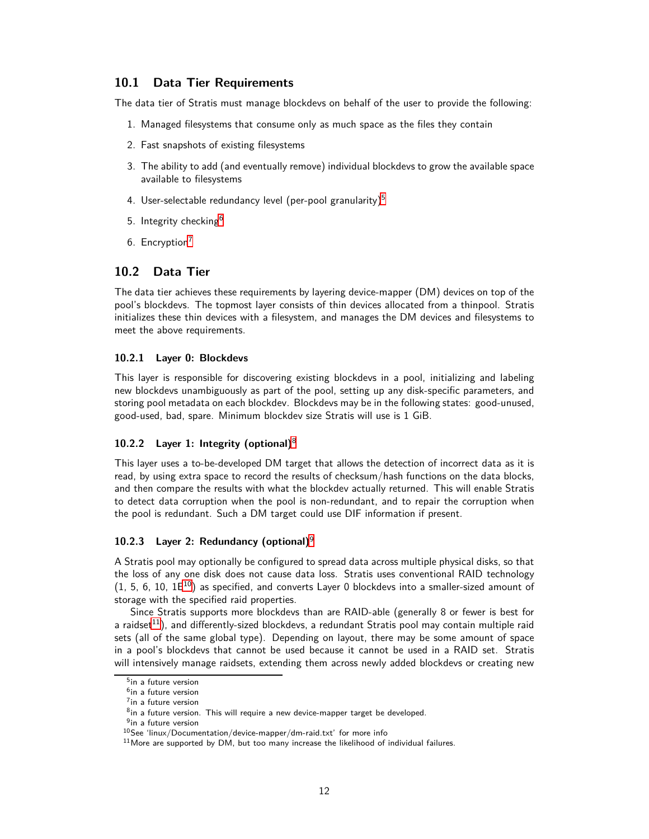### <span id="page-11-0"></span>**10.1 Data Tier Requirements**

The data tier of Stratis must manage blockdevs on behalf of the user to provide the following:

- 1. Managed filesystems that consume only as much space as the files they contain
- 2. Fast snapshots of existing filesystems
- 3. The ability to add (and eventually remove) individual blockdevs to grow the available space available to filesystems
- 4. User-selectable redundancy level (per-pool granularity)<sup>[5](#page-11-3)</sup>
- 5. Integrity checking<sup>[6](#page-11-4)</sup>
- 6. Encryption<sup>[7](#page-11-5)</sup>

### <span id="page-11-1"></span>**10.2 Data Tier**

The data tier achieves these requirements by layering device-mapper (DM) devices on top of the pool's blockdevs. The topmost layer consists of thin devices allocated from a thinpool. Stratis initializes these thin devices with a filesystem, and manages the DM devices and filesystems to meet the above requirements.

#### <span id="page-11-2"></span>**10.2.1 Layer 0: Blockdevs**

This layer is responsible for discovering existing blockdevs in a pool, initializing and labeling new blockdevs unambiguously as part of the pool, setting up any disk-specific parameters, and storing pool metadata on each blockdev. Blockdevs may be in the following states: good-unused, good-used, bad, spare. Minimum blockdev size Stratis will use is 1 GiB.

#### **10.2.2 Layer 1: Integrity (optional)**[8](#page-11-6)

This layer uses a to-be-developed DM target that allows the detection of incorrect data as it is read, by using extra space to record the results of checksum/hash functions on the data blocks, and then compare the results with what the blockdev actually returned. This will enable Stratis to detect data corruption when the pool is non-redundant, and to repair the corruption when the pool is redundant. Such a DM target could use DIF information if present.

#### **10.2.3 Layer 2: Redundancy (optional)**[9](#page-11-7)

A Stratis pool may optionally be configured to spread data across multiple physical disks, so that the loss of any one disk does not cause data loss. Stratis uses conventional RAID technology  $(1, 5, 6, 10, 1E^{10})$  $(1, 5, 6, 10, 1E^{10})$  $(1, 5, 6, 10, 1E^{10})$  as specified, and converts Layer 0 blockdevs into a smaller-sized amount of storage with the specified raid properties.

Since Stratis supports more blockdevs than are RAID-able (generally 8 or fewer is best for a raidset $11$ ), and differently-sized blockdevs, a redundant Stratis pool may contain multiple raid sets (all of the same global type). Depending on layout, there may be some amount of space in a pool's blockdevs that cannot be used because it cannot be used in a RAID set. Stratis will intensively manage raidsets, extending them across newly added blockdevs or creating new

<sup>5</sup> in a future version

<span id="page-11-3"></span><sup>6</sup> in a future version

<span id="page-11-4"></span><sup>7</sup> in a future version

<span id="page-11-5"></span> $8$ in a future version. This will require a new device-mapper target be developed.

<span id="page-11-6"></span><sup>&</sup>lt;sup>9</sup>in a future version

<span id="page-11-7"></span> $10$ See 'linux/Documentation/device-mapper/dm-raid.txt' for more info

<span id="page-11-9"></span><span id="page-11-8"></span> $11$ More are supported by DM, but too many increase the likelihood of individual failures.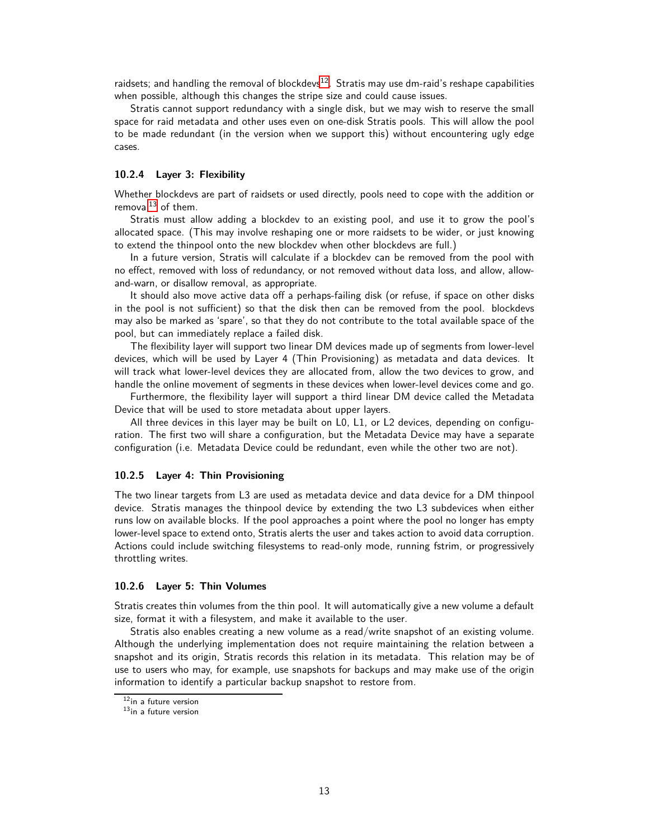raidsets; and handling the removal of blockdevs $12$ . Stratis may use dm-raid's reshape capabilities when possible, although this changes the stripe size and could cause issues.

Stratis cannot support redundancy with a single disk, but we may wish to reserve the small space for raid metadata and other uses even on one-disk Stratis pools. This will allow the pool to be made redundant (in the version when we support this) without encountering ugly edge cases.

#### <span id="page-12-0"></span>**10.2.4 Layer 3: Flexibility**

Whether blockdevs are part of raidsets or used directly, pools need to cope with the addition or removal $^{13}$  $^{13}$  $^{13}$  of them.

Stratis must allow adding a blockdev to an existing pool, and use it to grow the pool's allocated space. (This may involve reshaping one or more raidsets to be wider, or just knowing to extend the thinpool onto the new blockdev when other blockdevs are full.)

In a future version, Stratis will calculate if a blockdev can be removed from the pool with no effect, removed with loss of redundancy, or not removed without data loss, and allow, allowand-warn, or disallow removal, as appropriate.

It should also move active data off a perhaps-failing disk (or refuse, if space on other disks in the pool is not sufficient) so that the disk then can be removed from the pool. blockdevs may also be marked as 'spare', so that they do not contribute to the total available space of the pool, but can immediately replace a failed disk.

The flexibility layer will support two linear DM devices made up of segments from lower-level devices, which will be used by Layer 4 (Thin Provisioning) as metadata and data devices. It will track what lower-level devices they are allocated from, allow the two devices to grow, and handle the online movement of segments in these devices when lower-level devices come and go.

Furthermore, the flexibility layer will support a third linear DM device called the Metadata Device that will be used to store metadata about upper layers.

All three devices in this layer may be built on L0, L1, or L2 devices, depending on configuration. The first two will share a configuration, but the Metadata Device may have a separate configuration (i.e. Metadata Device could be redundant, even while the other two are not).

#### <span id="page-12-1"></span>**10.2.5 Layer 4: Thin Provisioning**

The two linear targets from L3 are used as metadata device and data device for a DM thinpool device. Stratis manages the thinpool device by extending the two L3 subdevices when either runs low on available blocks. If the pool approaches a point where the pool no longer has empty lower-level space to extend onto, Stratis alerts the user and takes action to avoid data corruption. Actions could include switching filesystems to read-only mode, running fstrim, or progressively throttling writes.

#### <span id="page-12-2"></span>**10.2.6 Layer 5: Thin Volumes**

Stratis creates thin volumes from the thin pool. It will automatically give a new volume a default size, format it with a filesystem, and make it available to the user.

Stratis also enables creating a new volume as a read/write snapshot of an existing volume. Although the underlying implementation does not require maintaining the relation between a snapshot and its origin, Stratis records this relation in its metadata. This relation may be of use to users who may, for example, use snapshots for backups and may make use of the origin information to identify a particular backup snapshot to restore from.

<sup>12&</sup>lt;sub>in a future version</sub>

<span id="page-12-4"></span><span id="page-12-3"></span> $13$ in a future version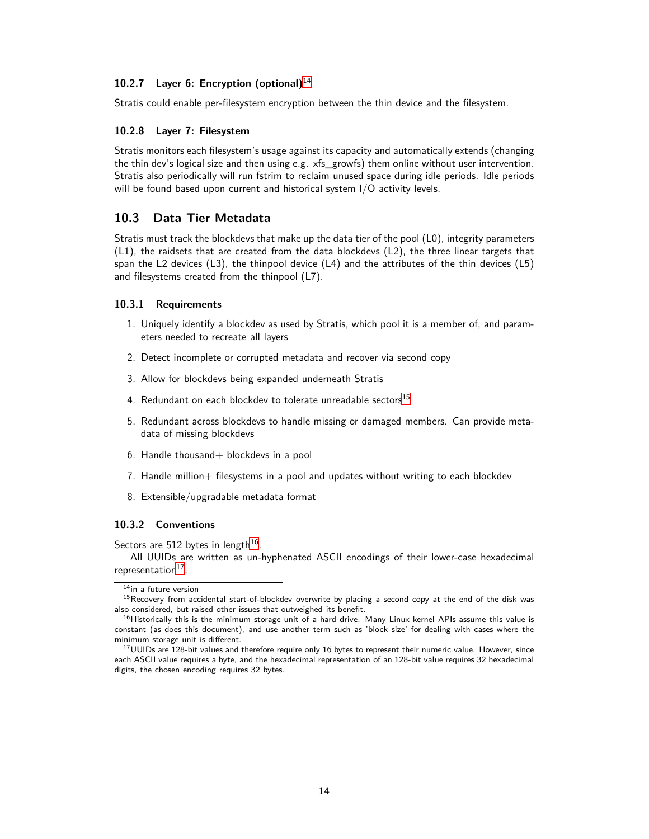#### **10.2.7 Layer 6: Encryption (optional)**[14](#page-13-4)

Stratis could enable per-filesystem encryption between the thin device and the filesystem.

#### <span id="page-13-0"></span>**10.2.8 Layer 7: Filesystem**

Stratis monitors each filesystem's usage against its capacity and automatically extends (changing the thin dev's logical size and then using e.g. xfs\_growfs) them online without user intervention. Stratis also periodically will run fstrim to reclaim unused space during idle periods. Idle periods will be found based upon current and historical system I/O activity levels.

### <span id="page-13-1"></span>**10.3 Data Tier Metadata**

Stratis must track the blockdevs that make up the data tier of the pool (L0), integrity parameters (L1), the raidsets that are created from the data blockdevs (L2), the three linear targets that span the L2 devices (L3), the thinpool device (L4) and the attributes of the thin devices (L5) and filesystems created from the thinpool (L7).

#### <span id="page-13-2"></span>**10.3.1 Requirements**

- 1. Uniquely identify a blockdev as used by Stratis, which pool it is a member of, and parameters needed to recreate all layers
- 2. Detect incomplete or corrupted metadata and recover via second copy
- 3. Allow for blockdevs being expanded underneath Stratis
- 4. Redundant on each blockdev to tolerate unreadable sectors $^{15}$  $^{15}$  $^{15}$
- 5. Redundant across blockdevs to handle missing or damaged members. Can provide metadata of missing blockdevs
- 6. Handle thousand+ blockdevs in a pool
- 7. Handle million+ filesystems in a pool and updates without writing to each blockdev
- 8. Extensible/upgradable metadata format

#### <span id="page-13-3"></span>**10.3.2 Conventions**

Sectors are 512 bytes in length $^{16}$  $^{16}$  $^{16}$ .

All UUIDs are written as un-hyphenated ASCII encodings of their lower-case hexadecimal representation<sup>[17](#page-13-7)</sup>.

<span id="page-13-4"></span><sup>14&</sup>lt;sub>in a future version</sub>

<span id="page-13-5"></span><sup>&</sup>lt;sup>15</sup> Recovery from accidental start-of-blockdev overwrite by placing a second copy at the end of the disk was also considered, but raised other issues that outweighed its benefit.

<span id="page-13-6"></span> $<sup>16</sup>$ Historically this is the minimum storage unit of a hard drive. Many Linux kernel APIs assume this value is</sup> constant (as does this document), and use another term such as 'block size' for dealing with cases where the minimum storage unit is different.

<span id="page-13-7"></span> $17$ UUIDs are 128-bit values and therefore require only 16 bytes to represent their numeric value. However, since each ASCII value requires a byte, and the hexadecimal representation of an 128-bit value requires 32 hexadecimal digits, the chosen encoding requires 32 bytes.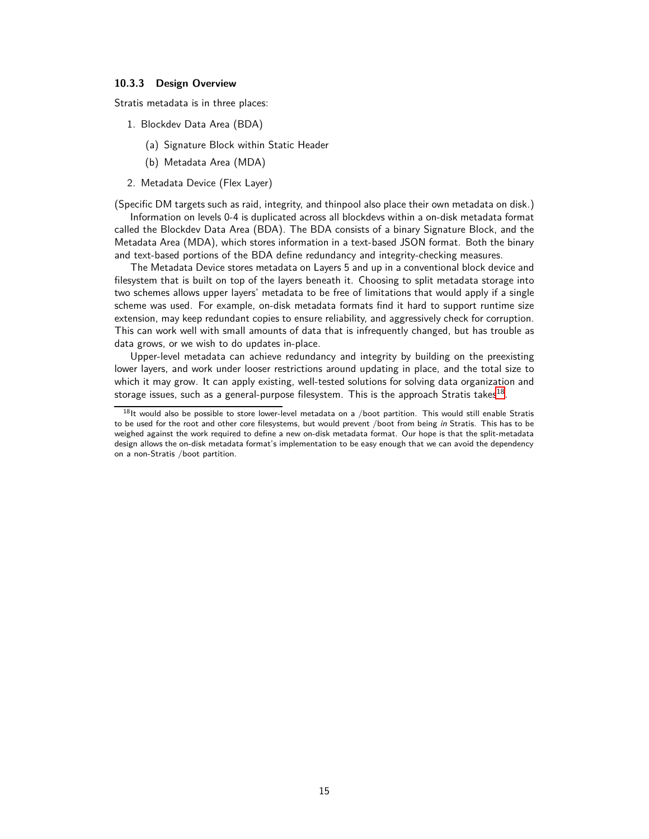#### <span id="page-14-0"></span>**10.3.3 Design Overview**

Stratis metadata is in three places:

- 1. Blockdev Data Area (BDA)
	- (a) Signature Block within Static Header
	- (b) Metadata Area (MDA)
- 2. Metadata Device (Flex Layer)

(Specific DM targets such as raid, integrity, and thinpool also place their own metadata on disk.)

Information on levels 0-4 is duplicated across all blockdevs within a on-disk metadata format called the Blockdev Data Area (BDA). The BDA consists of a binary Signature Block, and the Metadata Area (MDA), which stores information in a text-based JSON format. Both the binary and text-based portions of the BDA define redundancy and integrity-checking measures.

The Metadata Device stores metadata on Layers 5 and up in a conventional block device and filesystem that is built on top of the layers beneath it. Choosing to split metadata storage into two schemes allows upper layers' metadata to be free of limitations that would apply if a single scheme was used. For example, on-disk metadata formats find it hard to support runtime size extension, may keep redundant copies to ensure reliability, and aggressively check for corruption. This can work well with small amounts of data that is infrequently changed, but has trouble as data grows, or we wish to do updates in-place.

Upper-level metadata can achieve redundancy and integrity by building on the preexisting lower layers, and work under looser restrictions around updating in place, and the total size to which it may grow. It can apply existing, well-tested solutions for solving data organization and storage issues, such as a general-purpose filesystem. This is the approach Stratis takes $^{18}.$  $^{18}.$  $^{18}.$ 

<span id="page-14-1"></span> $18$ It would also be possible to store lower-level metadata on a /boot partition. This would still enable Stratis to be used for the root and other core filesystems, but would prevent /boot from being in Stratis. This has to be weighed against the work required to define a new on-disk metadata format. Our hope is that the split-metadata design allows the on-disk metadata format's implementation to be easy enough that we can avoid the dependency on a non-Stratis /boot partition.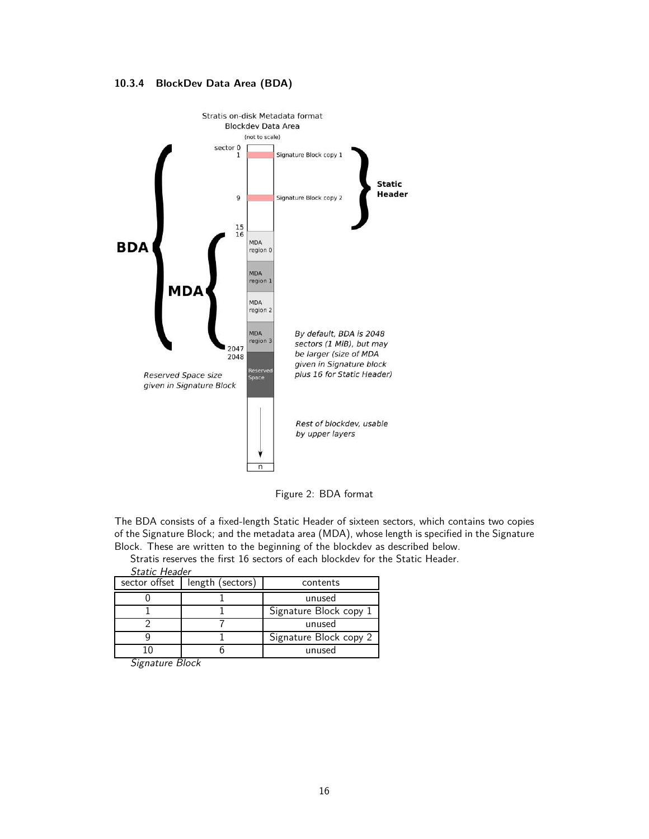<span id="page-15-0"></span>



Figure 2: BDA format

The BDA consists of a fixed-length Static Header of sixteen sectors, which contains two copies of the Signature Block; and the metadata area (MDA), whose length is specified in the Signature Block. These are written to the beginning of the blockdev as described below.

Stratis reserves the first 16 sectors of each blockdev for the Static Header. Ctatic Head

| Static Header |                  |                        |  |  |  |  |
|---------------|------------------|------------------------|--|--|--|--|
| sector offset | length (sectors) | contents               |  |  |  |  |
|               |                  | unused                 |  |  |  |  |
|               |                  | Signature Block copy 1 |  |  |  |  |
|               |                  | unused                 |  |  |  |  |
|               |                  | Signature Block copy 2 |  |  |  |  |
|               |                  | unused                 |  |  |  |  |

Signature Block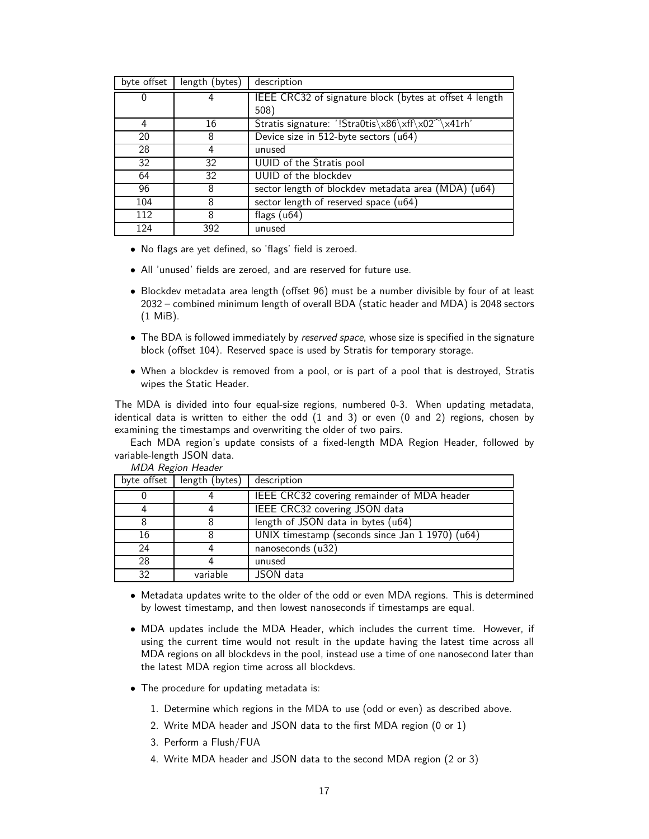| byte offset | length (bytes) | description                                             |  |
|-------------|----------------|---------------------------------------------------------|--|
| 0           | 4              | IEEE CRC32 of signature block (bytes at offset 4 length |  |
|             |                | 508)                                                    |  |
| 4           | 16             | Stratis signature: '!Stra0tis\x86\xff\x02^\x41rh'       |  |
| 20          | 8              | Device size in 512-byte sectors (u64)                   |  |
| 28          | 4              | unused                                                  |  |
| 32          | 32             | <b>UUID</b> of the Stratis pool                         |  |
| 64          | 32             | UUID of the blockdev                                    |  |
| 96          | 8              | sector length of blockdev metadata area (MDA)<br>u64    |  |
| 104         | 8              | sector length of reserved space (u64)                   |  |
| 112         | 8              | flags $(u64)$                                           |  |
| 124         | 392            | unused                                                  |  |

- No flags are yet defined, so 'flags' field is zeroed.
- All 'unused' fields are zeroed, and are reserved for future use.
- Blockdev metadata area length (offset 96) must be a number divisible by four of at least 2032 – combined minimum length of overall BDA (static header and MDA) is 2048 sectors (1 MiB).
- The BDA is followed immediately by reserved space, whose size is specified in the signature block (offset 104). Reserved space is used by Stratis for temporary storage.
- When a blockdev is removed from a pool, or is part of a pool that is destroyed, Stratis wipes the Static Header.

The MDA is divided into four equal-size regions, numbered 0-3. When updating metadata, identical data is written to either the odd (1 and 3) or even (0 and 2) regions, chosen by examining the timestamps and overwriting the older of two pairs.

Each MDA region's update consists of a fixed-length MDA Region Header, followed by variable-length JSON data.

| byte offset | length (bytes) | description                                     |  |
|-------------|----------------|-------------------------------------------------|--|
|             |                | IEEE CRC32 covering remainder of MDA header     |  |
|             |                | IEEE CRC32 covering JSON data                   |  |
|             |                | length of JSON data in bytes (u64)              |  |
| 16          |                | UNIX timestamp (seconds since Jan 1 1970) (u64) |  |
| 24          |                | nanoseconds (u32)                               |  |
| 28          |                | unused                                          |  |
| 32          | variable       | JSON data                                       |  |

MDA Region Header

- Metadata updates write to the older of the odd or even MDA regions. This is determined by lowest timestamp, and then lowest nanoseconds if timestamps are equal.
- MDA updates include the MDA Header, which includes the current time. However, if using the current time would not result in the update having the latest time across all MDA regions on all blockdevs in the pool, instead use a time of one nanosecond later than the latest MDA region time across all blockdevs.
- The procedure for updating metadata is:
	- 1. Determine which regions in the MDA to use (odd or even) as described above.
	- 2. Write MDA header and JSON data to the first MDA region (0 or 1)
	- 3. Perform a Flush/FUA
	- 4. Write MDA header and JSON data to the second MDA region (2 or 3)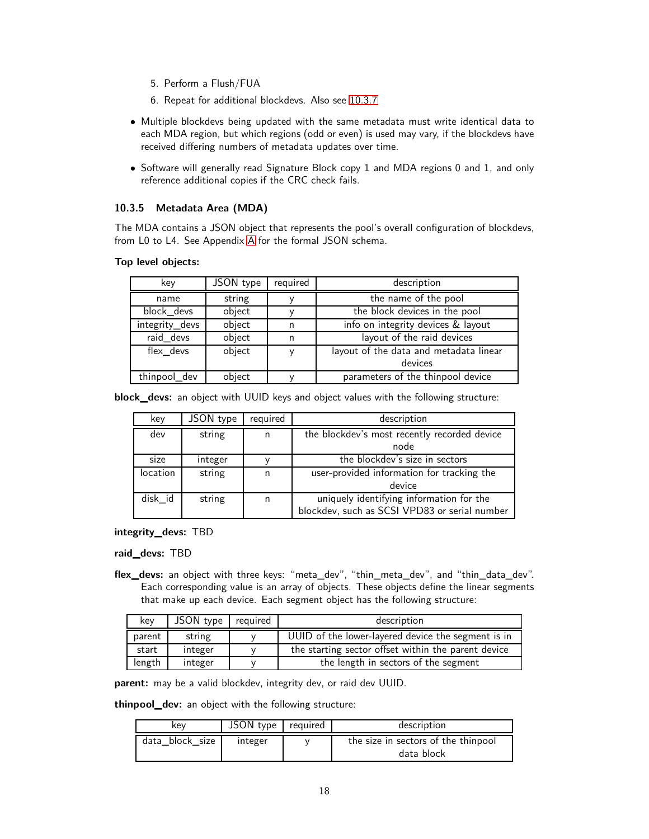- 5. Perform a Flush/FUA
- 6. Repeat for additional blockdevs. Also see [10.3.7](#page-18-1)
- Multiple blockdevs being updated with the same metadata must write identical data to each MDA region, but which regions (odd or even) is used may vary, if the blockdevs have received differing numbers of metadata updates over time.
- Software will generally read Signature Block copy 1 and MDA regions 0 and 1, and only reference additional copies if the CRC check fails.

#### <span id="page-17-0"></span>**10.3.5 Metadata Area (MDA)**

The MDA contains a JSON object that represents the pool's overall configuration of blockdevs, from L0 to L4. See Appendix [A](#page-25-0) for the formal JSON schema.

**Top level objects:**

| key                    | JSON type | required | description                            |
|------------------------|-----------|----------|----------------------------------------|
| name                   | string    |          | the name of the pool                   |
| block_devs<br>object   |           |          | the block devices in the pool          |
| integrity_devs         | object    | n        | info on integrity devices & layout     |
| raid devs              | object    | n        | layout of the raid devices             |
| flex_devs              | object    |          | layout of the data and metadata linear |
|                        |           |          | devices                                |
| object<br>thinpool_dev |           |          | parameters of the thinpool device      |

**block\_devs:** an object with UUID keys and object values with the following structure:

| key             | JSON type | required | description                                   |  |
|-----------------|-----------|----------|-----------------------------------------------|--|
| dev             | string    | n        | the blockdev's most recently recorded device  |  |
|                 |           |          | node                                          |  |
| size            | integer   |          | the blockdey's size in sectors                |  |
| <b>location</b> | string    | n        | user-provided information for tracking the    |  |
|                 |           |          | device                                        |  |
| disk id         | string    | n        | uniquely identifying information for the      |  |
|                 |           |          | blockdev, such as SCSI VPD83 or serial number |  |

**integrity\_devs:** TBD

**raid\_devs:** TBD

**flex\_devs:** an object with three keys: "meta\_dev", "thin\_meta\_dev", and "thin\_data\_dev". Each corresponding value is an array of objects. These objects define the linear segments that make up each device. Each segment object has the following structure:

| kev               | JSON type | reguired                                           | description                                         |  |
|-------------------|-----------|----------------------------------------------------|-----------------------------------------------------|--|
| string<br>parent  |           | UUID of the lower-layered device the segment is in |                                                     |  |
| start             | integer   |                                                    | the starting sector offset within the parent device |  |
| length<br>integer |           |                                                    | the length in sectors of the segment                |  |

**parent:** may be a valid blockdev, integrity dev, or raid dev UUID.

**thinpool\_dev:** an object with the following structure:

| kev             | JSON type required | description                                       |
|-----------------|--------------------|---------------------------------------------------|
| data block size | integer            | the size in sectors of the thinpool<br>data block |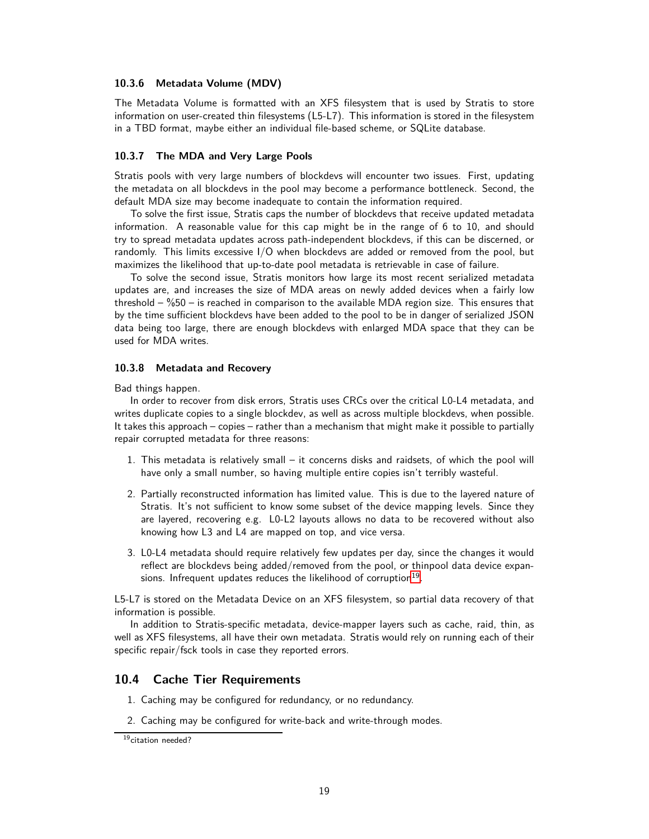#### <span id="page-18-0"></span>**10.3.6 Metadata Volume (MDV)**

The Metadata Volume is formatted with an XFS filesystem that is used by Stratis to store information on user-created thin filesystems (L5-L7). This information is stored in the filesystem in a TBD format, maybe either an individual file-based scheme, or SQLite database.

#### <span id="page-18-1"></span>**10.3.7 The MDA and Very Large Pools**

Stratis pools with very large numbers of blockdevs will encounter two issues. First, updating the metadata on all blockdevs in the pool may become a performance bottleneck. Second, the default MDA size may become inadequate to contain the information required.

To solve the first issue, Stratis caps the number of blockdevs that receive updated metadata information. A reasonable value for this cap might be in the range of 6 to 10, and should try to spread metadata updates across path-independent blockdevs, if this can be discerned, or randomly. This limits excessive I/O when blockdevs are added or removed from the pool, but maximizes the likelihood that up-to-date pool metadata is retrievable in case of failure.

To solve the second issue, Stratis monitors how large its most recent serialized metadata updates are, and increases the size of MDA areas on newly added devices when a fairly low threshold  $-$  %50 – is reached in comparison to the available MDA region size. This ensures that by the time sufficient blockdevs have been added to the pool to be in danger of serialized JSON data being too large, there are enough blockdevs with enlarged MDA space that they can be used for MDA writes.

#### <span id="page-18-2"></span>**10.3.8 Metadata and Recovery**

Bad things happen.

In order to recover from disk errors, Stratis uses CRCs over the critical L0-L4 metadata, and writes duplicate copies to a single blockdev, as well as across multiple blockdevs, when possible. It takes this approach – copies – rather than a mechanism that might make it possible to partially repair corrupted metadata for three reasons:

- 1. This metadata is relatively small it concerns disks and raidsets, of which the pool will have only a small number, so having multiple entire copies isn't terribly wasteful.
- 2. Partially reconstructed information has limited value. This is due to the layered nature of Stratis. It's not sufficient to know some subset of the device mapping levels. Since they are layered, recovering e.g. L0-L2 layouts allows no data to be recovered without also knowing how L3 and L4 are mapped on top, and vice versa.
- 3. L0-L4 metadata should require relatively few updates per day, since the changes it would reflect are blockdevs being added/removed from the pool, or thinpool data device expansions. Infrequent updates reduces the likelihood of corruption $^{19}$  $^{19}$  $^{19}$ .

L5-L7 is stored on the Metadata Device on an XFS filesystem, so partial data recovery of that information is possible.

In addition to Stratis-specific metadata, device-mapper layers such as cache, raid, thin, as well as XFS filesystems, all have their own metadata. Stratis would rely on running each of their specific repair/fsck tools in case they reported errors.

### <span id="page-18-3"></span>**10.4 Cache Tier Requirements**

- 1. Caching may be configured for redundancy, or no redundancy.
- 2. Caching may be configured for write-back and write-through modes.

<span id="page-18-4"></span><sup>19</sup>citation needed?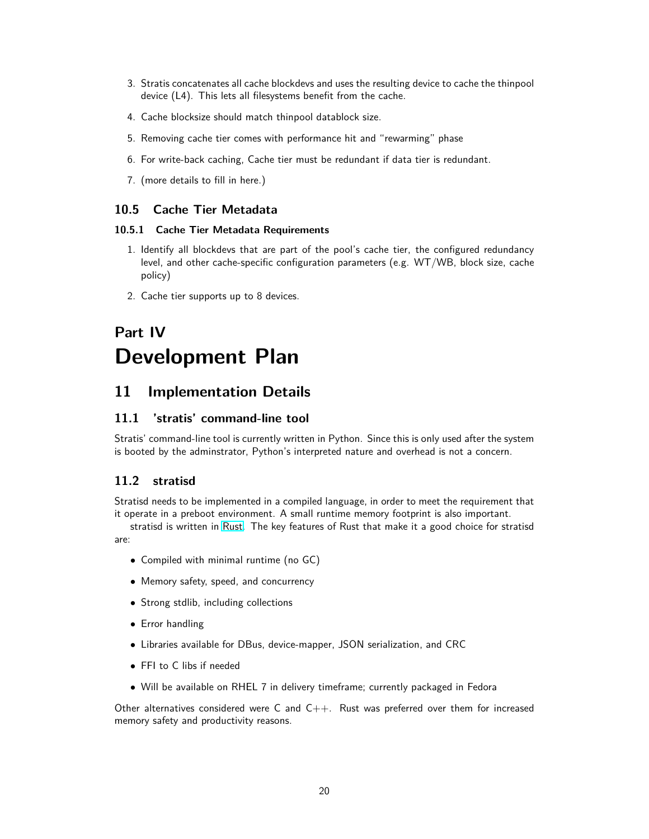- 3. Stratis concatenates all cache blockdevs and uses the resulting device to cache the thinpool device (L4). This lets all filesystems benefit from the cache.
- 4. Cache blocksize should match thinpool datablock size.
- 5. Removing cache tier comes with performance hit and "rewarming" phase
- 6. For write-back caching, Cache tier must be redundant if data tier is redundant.
- 7. (more details to fill in here.)

### <span id="page-19-1"></span><span id="page-19-0"></span>**10.5 Cache Tier Metadata**

#### **10.5.1 Cache Tier Metadata Requirements**

- 1. Identify all blockdevs that are part of the pool's cache tier, the configured redundancy level, and other cache-specific configuration parameters (e.g. WT/WB, block size, cache policy)
- 2. Cache tier supports up to 8 devices.

# <span id="page-19-2"></span>**Part IV Development Plan**

# <span id="page-19-3"></span>**11 Implementation Details**

### <span id="page-19-4"></span>**11.1 'stratis' command-line tool**

Stratis' command-line tool is currently written in Python. Since this is only used after the system is booted by the adminstrator, Python's interpreted nature and overhead is not a concern.

### <span id="page-19-5"></span>**11.2 stratisd**

Stratisd needs to be implemented in a compiled language, in order to meet the requirement that it operate in a preboot environment. A small runtime memory footprint is also important.

stratisd is written in [Rust.](https://www.rust-lang.org/en-US/) The key features of Rust that make it a good choice for stratisd are:

- Compiled with minimal runtime (no GC)
- Memory safety, speed, and concurrency
- Strong stdlib, including collections
- Error handling
- Libraries available for DBus, device-mapper, JSON serialization, and CRC
- FFI to C libs if needed
- Will be available on RHEL 7 in delivery timeframe; currently packaged in Fedora

Other alternatives considered were C and  $C_{++}$ . Rust was preferred over them for increased memory safety and productivity reasons.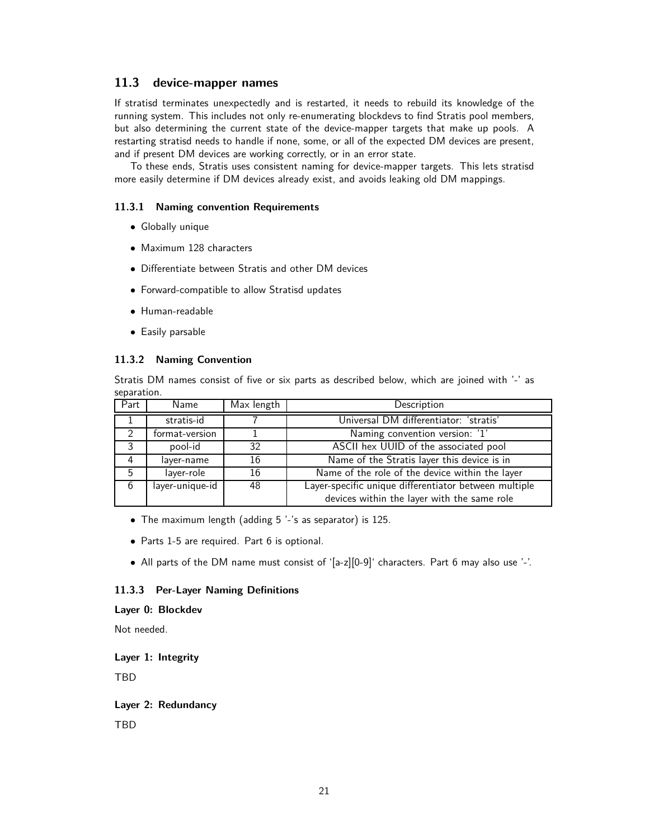### <span id="page-20-0"></span>**11.3 device-mapper names**

If stratisd terminates unexpectedly and is restarted, it needs to rebuild its knowledge of the running system. This includes not only re-enumerating blockdevs to find Stratis pool members, but also determining the current state of the device-mapper targets that make up pools. A restarting stratisd needs to handle if none, some, or all of the expected DM devices are present, and if present DM devices are working correctly, or in an error state.

To these ends, Stratis uses consistent naming for device-mapper targets. This lets stratisd more easily determine if DM devices already exist, and avoids leaking old DM mappings.

#### <span id="page-20-1"></span>**11.3.1 Naming convention Requirements**

- Globally unique
- Maximum 128 characters
- Differentiate between Stratis and other DM devices
- Forward-compatible to allow Stratisd updates
- Human-readable
- Easily parsable

#### <span id="page-20-2"></span>**11.3.2 Naming Convention**

Stratis DM names consist of five or six parts as described below, which are joined with '-' as separation.

| Part | Name            | Max length | Description                                           |  |
|------|-----------------|------------|-------------------------------------------------------|--|
|      | stratis-id      |            | Universal DM differentiator: 'stratis'                |  |
|      | format-version  |            | Naming convention version: '1'                        |  |
| 3    | pool-id         | 32         | ASCII hex UUID of the associated pool                 |  |
|      | layer-name      | 16         | Name of the Stratis layer this device is in           |  |
| 5    | layer-role      | 16         | Name of the role of the device within the layer       |  |
| 6    | layer-unique-id | 48         | Layer-specific unique differentiator between multiple |  |
|      |                 |            | devices within the layer with the same role           |  |

- The maximum length (adding 5 '-'s as separator) is 125.
- Parts 1-5 are required. Part 6 is optional.
- All parts of the DM name must consist of '[a-z][0-9]' characters. Part 6 may also use '-'.

#### <span id="page-20-3"></span>**11.3.3 Per-Layer Naming Definitions**

#### **Layer 0: Blockdev**

Not needed.

#### **Layer 1: Integrity**

TBD

### **Layer 2: Redundancy**

TBD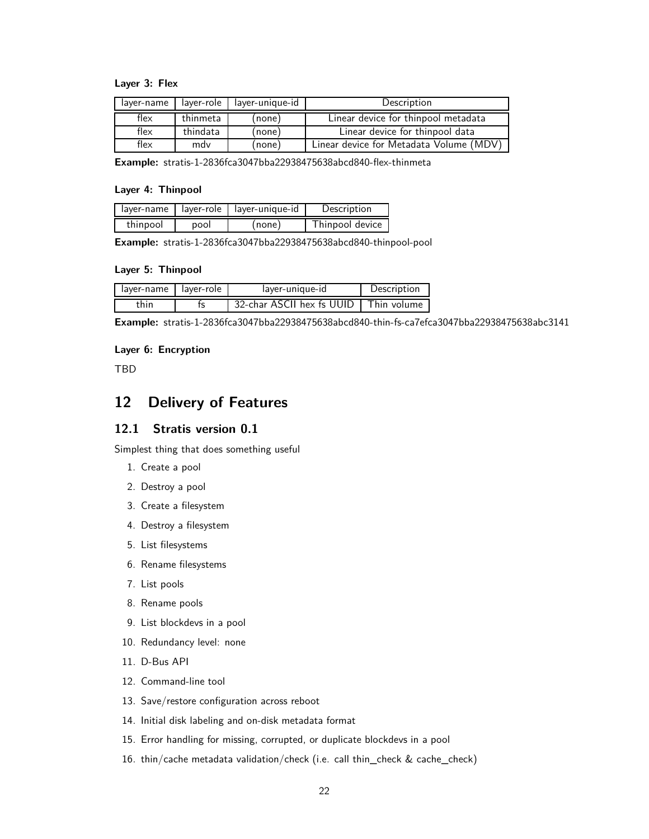#### **Layer 3: Flex**

| laver-name | layer-unique-id<br>laver-role |       | Description                             |  |
|------------|-------------------------------|-------|-----------------------------------------|--|
| flex       | thinmeta                      | none) | Linear device for thinpool metadata     |  |
| flex       | thindata                      | none) | Linear device for thinpool data         |  |
| flex       | mdv                           | none) | Linear device for Metadata Volume (MDV) |  |

**Example:** stratis-1-2836fca3047bba22938475638abcd840-flex-thinmeta

#### **Layer 4: Thinpool**

|          |      | layer-name   layer-role   layer-unique-id | Description     |
|----------|------|-------------------------------------------|-----------------|
| thinpool | pool | (none)                                    | Thinpool device |

**Example:** stratis-1-2836fca3047bba22938475638abcd840-thinpool-pool

#### **Layer 5: Thinpool**

| layer-name layer-role | layer-unique-id           | Description |
|-----------------------|---------------------------|-------------|
| thin                  | 32-char ASCII hex fs UUID | Thin volume |

**Example:** stratis-1-2836fca3047bba22938475638abcd840-thin-fs-ca7efca3047bba22938475638abc3141

#### **Layer 6: Encryption**

<span id="page-21-0"></span>TBD

# **12 Delivery of Features**

### <span id="page-21-1"></span>**12.1 Stratis version 0.1**

Simplest thing that does something useful

- 1. Create a pool
- 2. Destroy a pool
- 3. Create a filesystem
- 4. Destroy a filesystem
- 5. List filesystems
- 6. Rename filesystems
- 7. List pools
- 8. Rename pools
- 9. List blockdevs in a pool
- 10. Redundancy level: none
- 11. D-Bus API
- 12. Command-line tool
- 13. Save/restore configuration across reboot
- 14. Initial disk labeling and on-disk metadata format
- 15. Error handling for missing, corrupted, or duplicate blockdevs in a pool
- 16. thin/cache metadata validation/check (i.e. call thin\_check & cache\_check)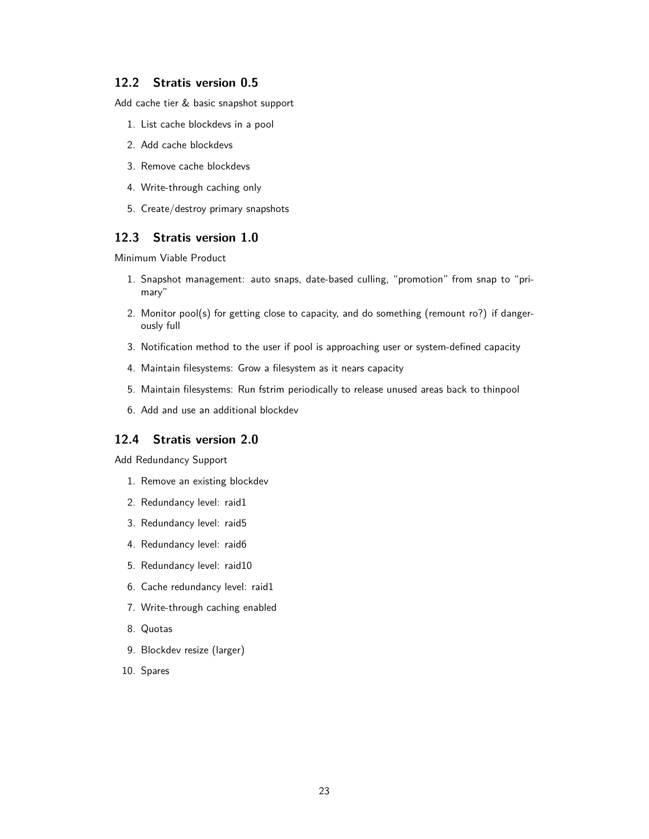### <span id="page-22-0"></span>**12.2 Stratis version 0.5**

Add cache tier & basic snapshot support

- 1. List cache blockdevs in a pool
- 2. Add cache blockdevs
- 3. Remove cache blockdevs
- 4. Write-through caching only
- 5. Create/destroy primary snapshots

### <span id="page-22-1"></span>**12.3 Stratis version 1.0**

Minimum Viable Product

- 1. Snapshot management: auto snaps, date-based culling, "promotion" from snap to "primary"
- 2. Monitor pool(s) for getting close to capacity, and do something (remount ro?) if dangerously full
- 3. Notification method to the user if pool is approaching user or system-defined capacity
- 4. Maintain filesystems: Grow a filesystem as it nears capacity
- 5. Maintain filesystems: Run fstrim periodically to release unused areas back to thinpool
- 6. Add and use an additional blockdev

### <span id="page-22-2"></span>**12.4 Stratis version 2.0**

Add Redundancy Support

- 1. Remove an existing blockdev
- 2. Redundancy level: raid1
- 3. Redundancy level: raid5
- 4. Redundancy level: raid6
- 5. Redundancy level: raid10
- 6. Cache redundancy level: raid1
- 7. Write-through caching enabled
- 8. Quotas
- 9. Blockdev resize (larger)
- 10. Spares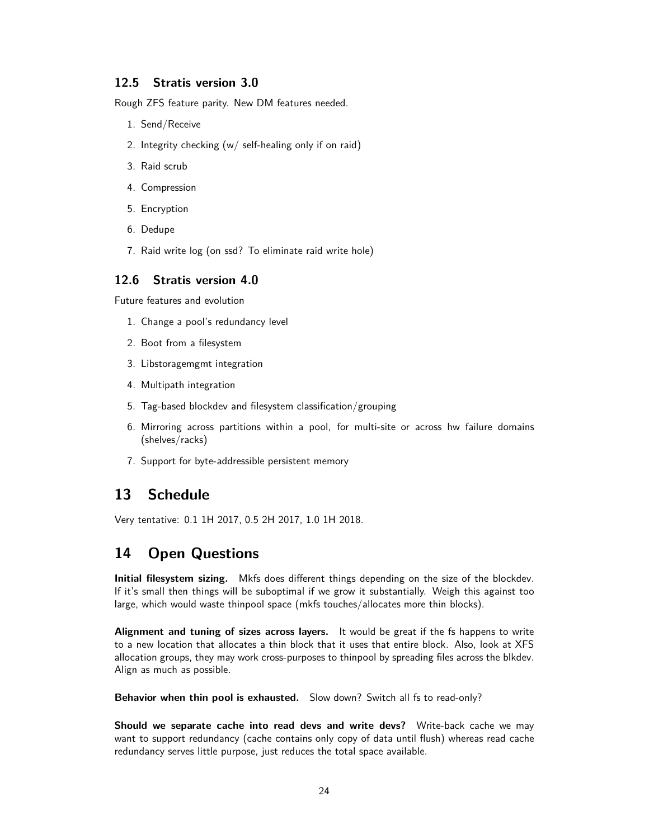### <span id="page-23-0"></span>**12.5 Stratis version 3.0**

Rough ZFS feature parity. New DM features needed.

- 1. Send/Receive
- 2. Integrity checking (w/ self-healing only if on raid)
- 3. Raid scrub
- 4. Compression
- 5. Encryption
- 6. Dedupe
- 7. Raid write log (on ssd? To eliminate raid write hole)

### <span id="page-23-1"></span>**12.6 Stratis version 4.0**

Future features and evolution

- 1. Change a pool's redundancy level
- 2. Boot from a filesystem
- 3. Libstoragemgmt integration
- 4. Multipath integration
- 5. Tag-based blockdev and filesystem classification/grouping
- 6. Mirroring across partitions within a pool, for multi-site or across hw failure domains (shelves/racks)
- 7. Support for byte-addressible persistent memory

# <span id="page-23-2"></span>**13 Schedule**

Very tentative: 0.1 1H 2017, 0.5 2H 2017, 1.0 1H 2018.

# <span id="page-23-3"></span>**14 Open Questions**

**Initial filesystem sizing.** Mkfs does different things depending on the size of the blockdev. If it's small then things will be suboptimal if we grow it substantially. Weigh this against too large, which would waste thinpool space (mkfs touches/allocates more thin blocks).

**Alignment and tuning of sizes across layers.** It would be great if the fs happens to write to a new location that allocates a thin block that it uses that entire block. Also, look at XFS allocation groups, they may work cross-purposes to thinpool by spreading files across the blkdev. Align as much as possible.

**Behavior when thin pool is exhausted.** Slow down? Switch all fs to read-only?

**Should we separate cache into read devs and write devs?** Write-back cache we may want to support redundancy (cache contains only copy of data until flush) whereas read cache redundancy serves little purpose, just reduces the total space available.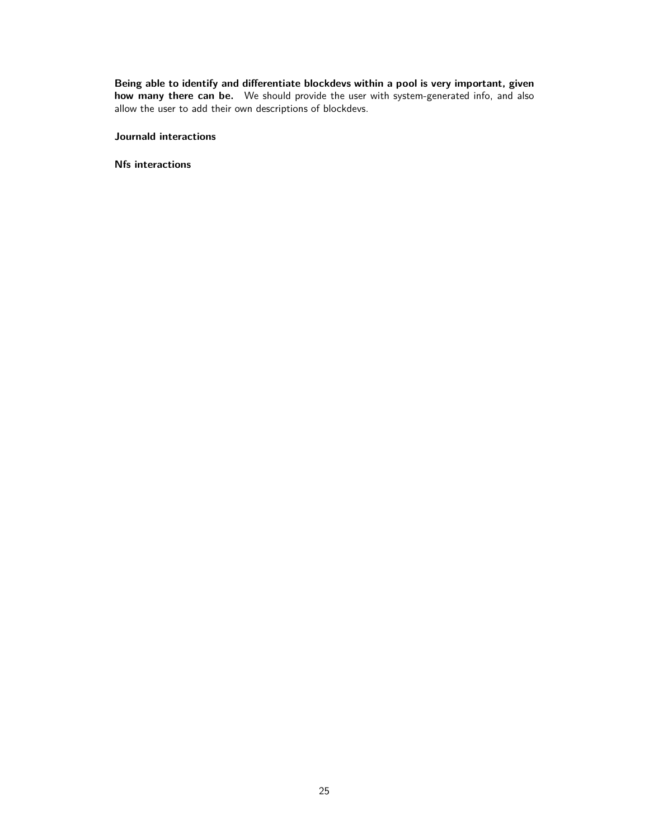**Being able to identify and differentiate blockdevs within a pool is very important, given how many there can be.** We should provide the user with system-generated info, and also allow the user to add their own descriptions of blockdevs.

#### **Journald interactions**

**Nfs interactions**